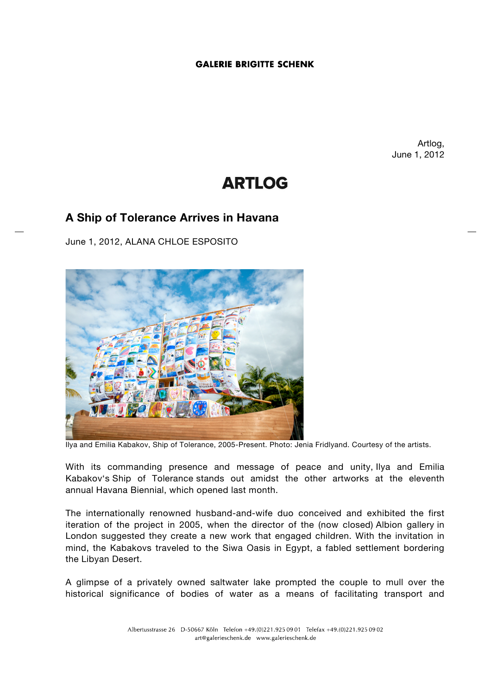## **GALERIE BRIGITTE SCHENK**

Artlog, June 1, 2012

# **ARTLOG**

## **A Ship of Tolerance Arrives in Havana**

June 1, 2012, ALANA CHLOE ESPOSITO



Ilya and Emilia Kabakov, Ship of Tolerance, 2005-Present. Photo: Jenia Fridlyand. Courtesy of the artists.

With its commanding presence and message of peace and unity, Ilya and Emilia Kabakov's Ship of Tolerance stands out amidst the other artworks at the eleventh annual Havana Biennial, which opened last month.

The internationally renowned husband-and-wife duo conceived and exhibited the first iteration of the project in 2005, when the director of the (now closed) Albion gallery in London suggested they create a new work that engaged children. With the invitation in mind, the Kabakovs traveled to the Siwa Oasis in Egypt, a fabled settlement bordering the Libyan Desert.

A glimpse of a privately owned saltwater lake prompted the couple to mull over the historical significance of bodies of water as a means of facilitating transport and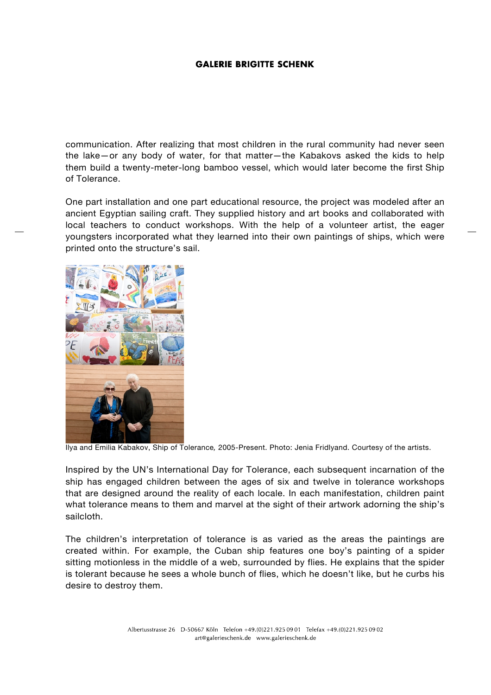### **GALERIE BRIGITTE SCHENK**

communication. After realizing that most children in the rural community had never seen the lake—or any body of water, for that matter—the Kabakovs asked the kids to help them build a twenty-meter-long bamboo vessel, which would later become the first Ship of Tolerance.

One part installation and one part educational resource, the project was modeled after an ancient Egyptian sailing craft. They supplied history and art books and collaborated with local teachers to conduct workshops. With the help of a volunteer artist, the eager youngsters incorporated what they learned into their own paintings of ships, which were printed onto the structure's sail.



Ilya and Emilia Kabakov, Ship of Tolerance*,* 2005-Present. Photo: Jenia Fridlyand. Courtesy of the artists.

Inspired by the UN's International Day for Tolerance, each subsequent incarnation of the ship has engaged children between the ages of six and twelve in tolerance workshops that are designed around the reality of each locale. In each manifestation, children paint what tolerance means to them and marvel at the sight of their artwork adorning the ship's sailcloth.

The children's interpretation of tolerance is as varied as the areas the paintings are created within. For example, the Cuban ship features one boy's painting of a spider sitting motionless in the middle of a web, surrounded by flies. He explains that the spider is tolerant because he sees a whole bunch of flies, which he doesn't like, but he curbs his desire to destroy them.